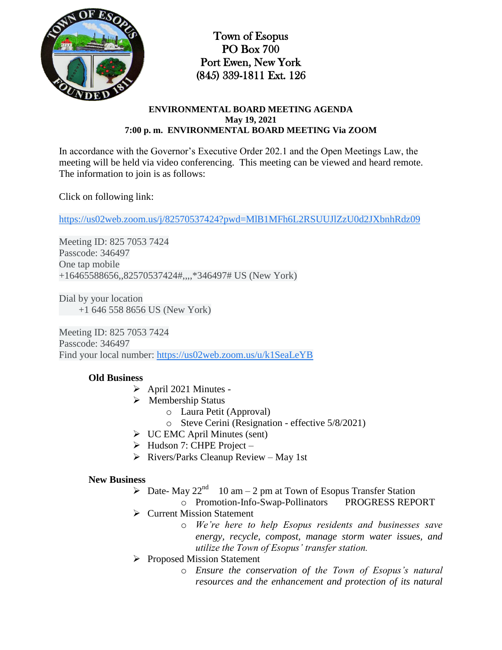

Town of Esopus PO Box 700 Port Ewen, New York (845) 339-1811 Ext. 126

#### **ENVIRONMENTAL BOARD MEETING AGENDA May 19, 2021 7:00 p. m. ENVIRONMENTAL BOARD MEETING Via ZOOM**

In accordance with the Governor's Executive Order 202.1 and the Open Meetings Law, the meeting will be held via video conferencing. This meeting can be viewed and heard remote. The information to join is as follows:

Click on following link:

[https://us02web.zoom.us/j/82570537424?pwd=MlB1MFh6L2RSUUJlZzU0d2JXbnhRdz09](https://www.google.com/url?q=https://us02web.zoom.us/j/82570537424?pwd%3DMlB1MFh6L2RSUUJlZzU0d2JXbnhRdz09&sa=D&source=calendar&ust=1621795232917000&usg=AOvVaw23Lm5otpnvJj5BiN_A9q4F)

Meeting ID: 825 7053 7424 Passcode: 346497 One tap mobile +16465588656,,82570537424#,,,,\*346497# US (New York)

Dial by your location +1 646 558 8656 US (New York)

Meeting ID: 825 7053 7424 Passcode: 346497 Find your local number: [https://us02web.zoom.us/u/k1SeaLeYB](https://www.google.com/url?q=https://us02web.zoom.us/u/k1SeaLeYB&sa=D&source=calendar&ust=1621795232917000&usg=AOvVaw1_b3Wr7M-27ED57vry0M6r)

## **Old Business**

- $\triangleright$  April 2021 Minutes -
- $\triangleright$  Membership Status
	- o Laura Petit (Approval)
	- o Steve Cerini (Resignation effective 5/8/2021)
- $\triangleright$  UC EMC April Minutes (sent)
- $\triangleright$  Hudson 7: CHPE Project –
- $\triangleright$  Rivers/Parks Cleanup Review May 1st

#### **New Business**

- $\triangleright$  Date- May 22<sup>nd</sup> 10 am 2 pm at Town of Esopus Transfer Station
	- o Promotion-Info-Swap-Pollinators PROGRESS REPORT
- Current Mission Statement
	- o *We're here to help Esopus residents and businesses save energy, recycle, compost, manage storm water issues, and utilize the Town of Esopus' transfer station.*
- **►** Proposed Mission Statement
	- o *Ensure the conservation of the Town of Esopus's natural resources and the enhancement and protection of its natural*